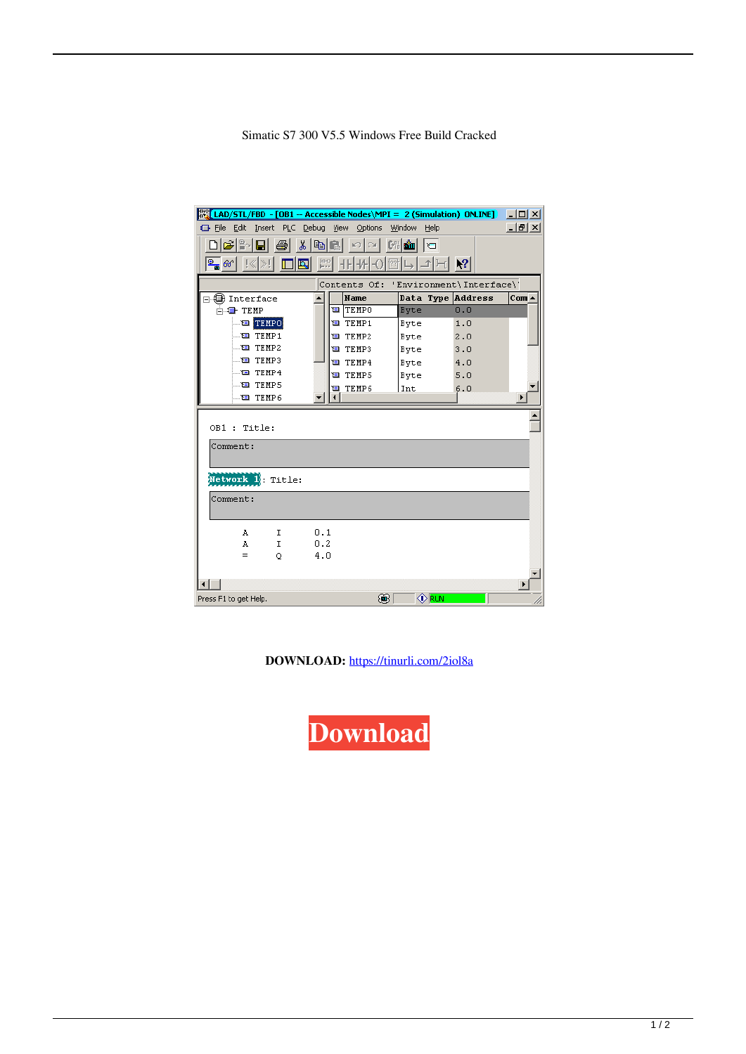| $\frac{m}{m}$ LAD/STL/FBD - [OB1 -- Accessible Nodes\MPI = 2 (Simulation) ONLINE] $\Box$ $\Box$ $\times$<br>Edit<br><b>O</b> -File<br>Insert                                                                                                                                                                                                                                                                                                                                               | PLC Debug View<br>Options                         | Window<br>Help                                           |                          | $  \mathbb{Z}$ $\times$ |
|--------------------------------------------------------------------------------------------------------------------------------------------------------------------------------------------------------------------------------------------------------------------------------------------------------------------------------------------------------------------------------------------------------------------------------------------------------------------------------------------|---------------------------------------------------|----------------------------------------------------------|--------------------------|-------------------------|
| c'e di<br>ఇೄ≪∣<br>!« »!                                                                                                                                                                                                                                                                                                                                                                                                                                                                    | ¥,<br>a d<br>$ {\cal C}^m\rangle$<br>HHO<br>ایتاا | - Gil Sin<br>$\Box$<br>cхI<br>$\overline{7}\overline{7}$ | $ \vdash$ M              |                         |
|                                                                                                                                                                                                                                                                                                                                                                                                                                                                                            | Contents Of:                                      |                                                          | 'Environment\Interface\' |                         |
| $\mathbb{R}$ Interface                                                                                                                                                                                                                                                                                                                                                                                                                                                                     | <b>Name</b>                                       |                                                          | Data Type Address        | Com                     |
| <b>⊟ 38 TEMP</b>                                                                                                                                                                                                                                                                                                                                                                                                                                                                           | te i tempo                                        | <b>Byte</b>                                              | 0.0                      |                         |
| $\blacksquare$ $\blacksquare$ $\blacksquare$ $\blacksquare$ $\blacksquare$ $\blacksquare$ $\blacksquare$ $\blacksquare$ $\blacksquare$ $\blacksquare$ $\blacksquare$ $\blacksquare$ $\blacksquare$ $\blacksquare$ $\blacksquare$ $\blacksquare$ $\blacksquare$ $\blacksquare$ $\blacksquare$ $\blacksquare$ $\blacksquare$ $\blacksquare$ $\blacksquare$ $\blacksquare$ $\blacksquare$ $\blacksquare$ $\blacksquare$ $\blacksquare$ $\blacksquare$ $\blacksquare$ $\blacksquare$ $\blacks$ | <b>E</b> TEMP1                                    | Byte                                                     | 1.0                      |                         |
| $\equiv$ TEMP1                                                                                                                                                                                                                                                                                                                                                                                                                                                                             | <b>E</b> TEMP2                                    | Byte                                                     | 2.0                      |                         |
| $\square$ TEMP2                                                                                                                                                                                                                                                                                                                                                                                                                                                                            | <b>E</b> TEMP3                                    | Byte                                                     | 3.0                      |                         |
| $\square$ TEMP3                                                                                                                                                                                                                                                                                                                                                                                                                                                                            | <b>E</b> TEMP4                                    | Byte                                                     | 4.0                      |                         |
| $\square$ TEMP4                                                                                                                                                                                                                                                                                                                                                                                                                                                                            | <b>E</b> TEMP5                                    | Byte                                                     | 5.0                      |                         |
| $\square$ TEMP5                                                                                                                                                                                                                                                                                                                                                                                                                                                                            | <b>E</b> TEMP6                                    | Int                                                      | 6.0                      |                         |
| $\square$ TEMP6                                                                                                                                                                                                                                                                                                                                                                                                                                                                            |                                                   |                                                          |                          |                         |
| OB1 : Title:<br>Comment:                                                                                                                                                                                                                                                                                                                                                                                                                                                                   |                                                   |                                                          |                          |                         |
| Network 1, Title:                                                                                                                                                                                                                                                                                                                                                                                                                                                                          |                                                   |                                                          |                          |                         |
| Comment:                                                                                                                                                                                                                                                                                                                                                                                                                                                                                   |                                                   |                                                          |                          |                         |
| A<br>I                                                                                                                                                                                                                                                                                                                                                                                                                                                                                     | 0.1                                               |                                                          |                          |                         |
| I.<br>A                                                                                                                                                                                                                                                                                                                                                                                                                                                                                    | 0.2                                               |                                                          |                          |                         |
| $=$<br>O                                                                                                                                                                                                                                                                                                                                                                                                                                                                                   | 4.0                                               |                                                          |                          |                         |
|                                                                                                                                                                                                                                                                                                                                                                                                                                                                                            |                                                   |                                                          |                          |                         |

Simatic S7 300 V5.5 Windows Free Build Cracked

DOWNLOAD: https://tinurli.com/2iol8a